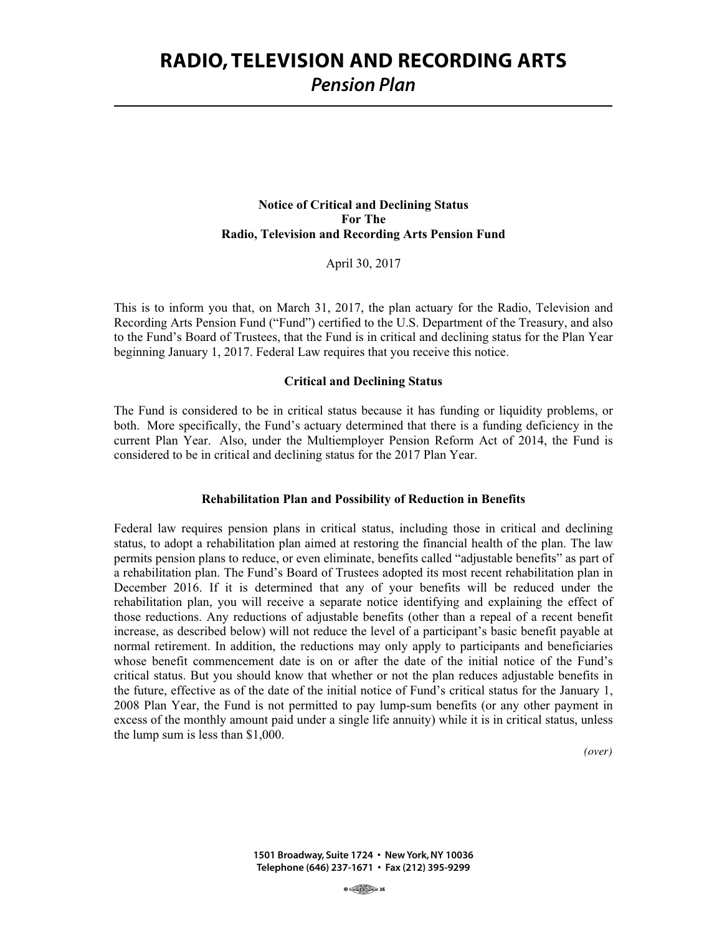# **RADIO, TELEVISION AND RECORDING ARTS** *Pension Plan*

## **Notice of Critical and Declining Status For The Radio, Television and Recording Arts Pension Fund**

April 30, 2017

This is to inform you that, on March 31, 2017, the plan actuary for the Radio, Television and Recording Arts Pension Fund ("Fund") certified to the U.S. Department of the Treasury, and also to the Fund's Board of Trustees, that the Fund is in critical and declining status for the Plan Year beginning January 1, 2017. Federal Law requires that you receive this notice.

#### **Critical and Declining Status**

The Fund is considered to be in critical status because it has funding or liquidity problems, or both. More specifically, the Fund's actuary determined that there is a funding deficiency in the current Plan Year. Also, under the Multiemployer Pension Reform Act of 2014, the Fund is considered to be in critical and declining status for the 2017 Plan Year.

## **Rehabilitation Plan and Possibility of Reduction in Benefits**

Federal law requires pension plans in critical status, including those in critical and declining status, to adopt a rehabilitation plan aimed at restoring the financial health of the plan. The law permits pension plans to reduce, or even eliminate, benefits called "adjustable benefits" as part of a rehabilitation plan. The Fund's Board of Trustees adopted its most recent rehabilitation plan in December 2016. If it is determined that any of your benefits will be reduced under the rehabilitation plan, you will receive a separate notice identifying and explaining the effect of those reductions. Any reductions of adjustable benefits (other than a repeal of a recent benefit increase, as described below) will not reduce the level of a participant's basic benefit payable at normal retirement. In addition, the reductions may only apply to participants and beneficiaries whose benefit commencement date is on or after the date of the initial notice of the Fund's critical status. But you should know that whether or not the plan reduces adjustable benefits in the future, effective as of the date of the initial notice of Fund's critical status for the January 1, 2008 Plan Year, the Fund is not permitted to pay lump-sum benefits (or any other payment in excess of the monthly amount paid under a single life annuity) while it is in critical status, unless the lump sum is less than \$1,000.

*(over)*